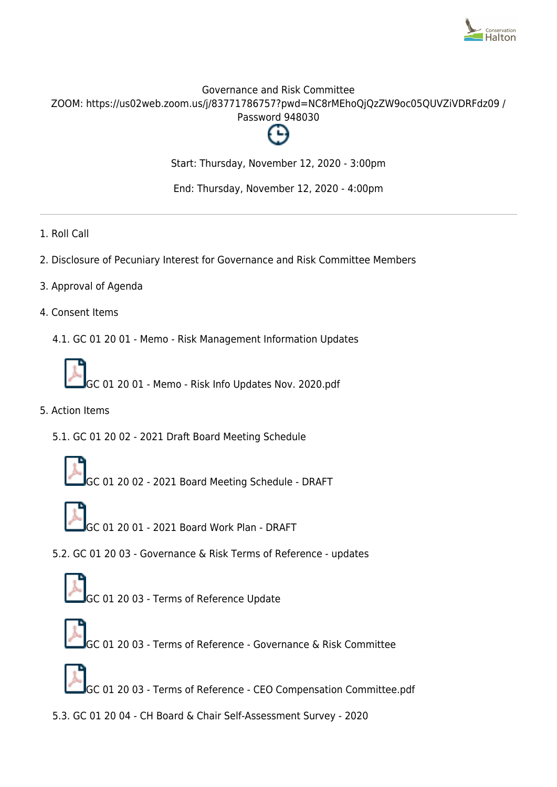

# Governance and Risk Committee ZOOM: https://us02web.zoom.us/j/83771786757?pwd=NC8rMEhoQjQzZW9oc05QUVZiVDRFdz09 / Password 948030



Start: Thursday, November 12, 2020 - 3:00pm

End: Thursday, November 12, 2020 - 4:00pm

- 1. Roll Call
- 2. Disclosure of Pecuniary Interest for Governance and Risk Committee Members
- 3. Approval of Agenda
- 4. Consent Items
	- 4.1. GC 01 20 01 Memo Risk Management Information Updates



- 5. Action Items
	- 5.1. GC 01 20 02 2021 Draft Board Meeting Schedule
		- GC 01 20 02 2021 Board Meeting Schedule DRAFT
			- GC 01 20 01 2021 Board Work Plan DRAFT
	- 5.2. GC 01 20 03 Governance & Risk Terms of Reference updates



- GC 01 20 03 Terms of Reference Governance & Risk Committee
- GC 01 20 03 Terms of Reference CEO Compensation Committee.pdf
- 5.3. GC 01 20 04 CH Board & Chair Self-Assessment Survey 2020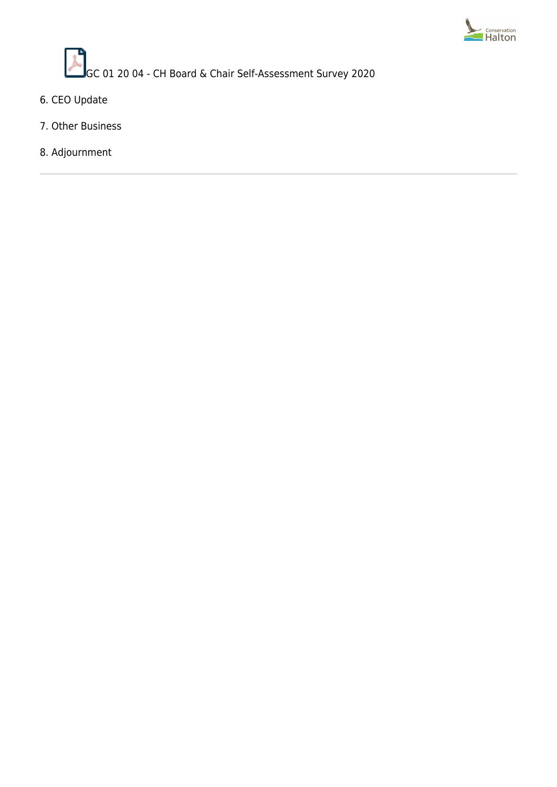

 $\mathcal{L}$ GC 01 20 04 - CH Board & Chair Self-Assessment Survey 2020

- 6. CEO Update
- 7. Other Business
- 8. Adjournment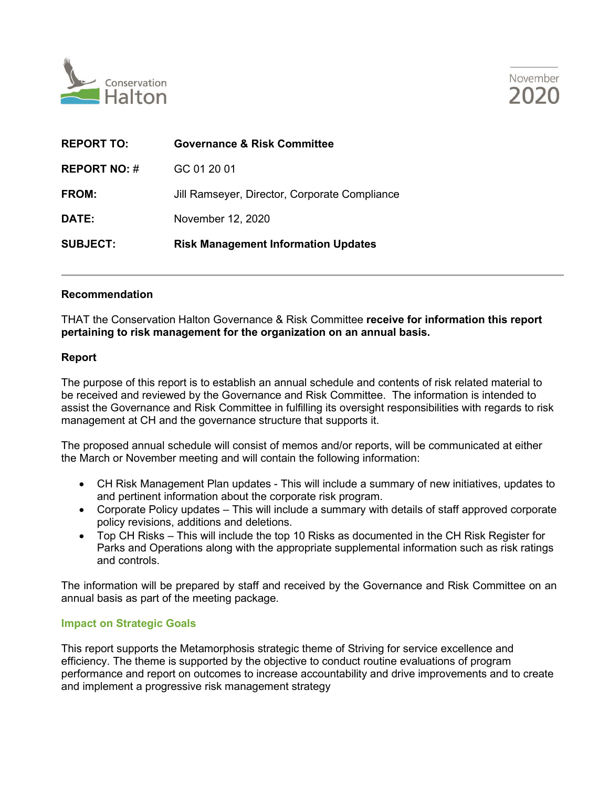



| <b>REPORT TO:</b>   | <b>Governance &amp; Risk Committee</b>        |
|---------------------|-----------------------------------------------|
| <b>REPORT NO: #</b> | GC 01 20 01                                   |
| FROM:               | Jill Ramseyer, Director, Corporate Compliance |
| DATE:               | November 12, 2020                             |
| <b>SUBJECT:</b>     | <b>Risk Management Information Updates</b>    |

## **Recommendation**

THAT the Conservation Halton Governance & Risk Committee **receive for information this report pertaining to risk management for the organization on an annual basis.** 

## **Report**

The purpose of this report is to establish an annual schedule and contents of risk related material to be received and reviewed by the Governance and Risk Committee. The information is intended to assist the Governance and Risk Committee in fulfilling its oversight responsibilities with regards to risk management at CH and the governance structure that supports it.

The proposed annual schedule will consist of memos and/or reports, will be communicated at either the March or November meeting and will contain the following information:

- CH Risk Management Plan updates This will include a summary of new initiatives, updates to and pertinent information about the corporate risk program.
- Corporate Policy updates This will include a summary with details of staff approved corporate policy revisions, additions and deletions.
- Top CH Risks This will include the top 10 Risks as documented in the CH Risk Register for Parks and Operations along with the appropriate supplemental information such as risk ratings and controls.

The information will be prepared by staff and received by the Governance and Risk Committee on an annual basis as part of the meeting package.

## **Impact on Strategic Goals**

This report supports the Metamorphosis strategic theme of Striving for service excellence and efficiency. The theme is supported by the objective to conduct routine evaluations of program performance and report on outcomes to increase accountability and drive improvements and to create and implement a progressive risk management strategy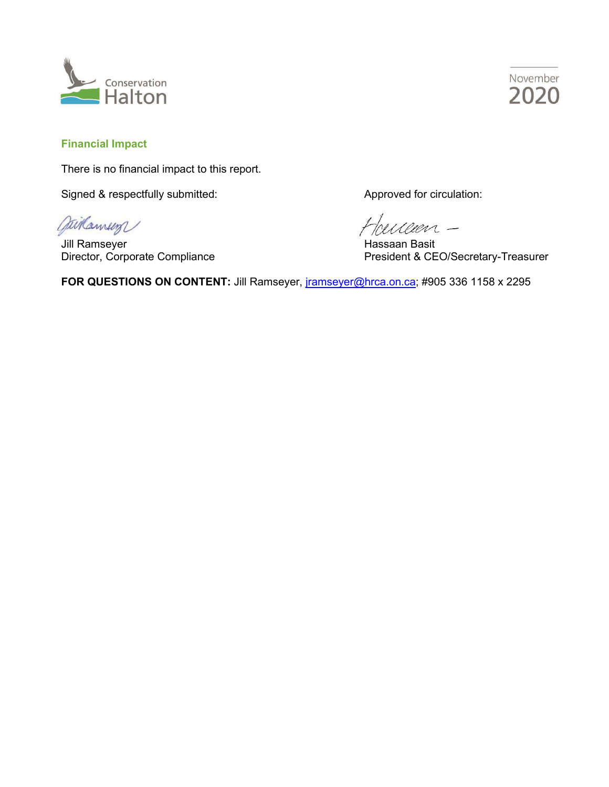



## **Financial Impact**

There is no financial impact to this report.

Signed & respectfully submitted: Approved for circulation:

gaikamen

Jill Ramseyer Hassaan Basit

illeen -

Direction, Corporate Complete President & CEO/Secretary-Treasurer

FOR QUESTIONS ON CONTENT: Jill Ramseyer, [jramseyer@hrca.on.ca;](mailto:jramseyer@hrca.on.ca) #905 336 1158 x 2295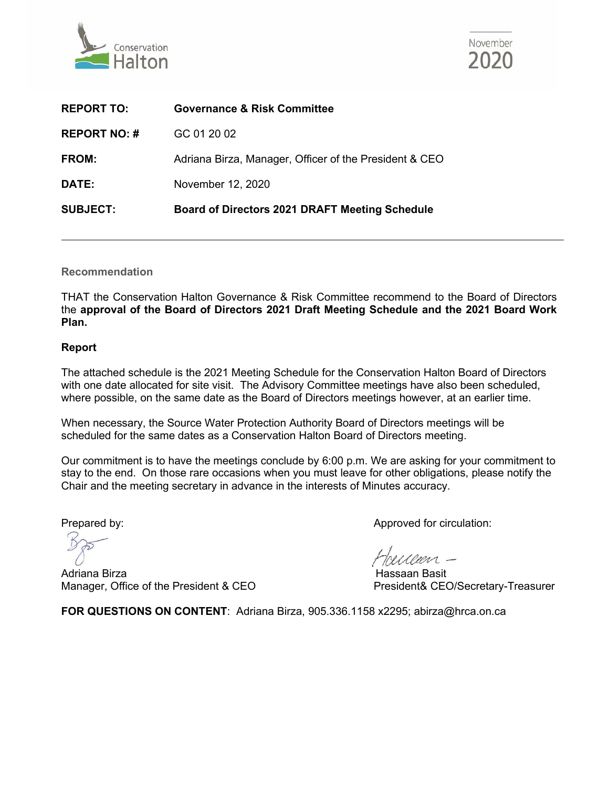



| <b>SUBJECT:</b>     | <b>Board of Directors 2021 DRAFT Meeting Schedule</b>  |
|---------------------|--------------------------------------------------------|
| DATE:               | November 12, 2020                                      |
| FROM:               | Adriana Birza, Manager, Officer of the President & CEO |
| <b>REPORT NO: #</b> | GC 01 20 02                                            |
| <b>REPORT TO:</b>   | <b>Governance &amp; Risk Committee</b>                 |

**Recommendation**

THAT the Conservation Halton Governance & Risk Committee recommend to the Board of Directors the **approval of the Board of Directors 2021 Draft Meeting Schedule and the 2021 Board Work Plan.**

## **Report**

The attached schedule is the 2021 Meeting Schedule for the Conservation Halton Board of Directors with one date allocated for site visit. The Advisory Committee meetings have also been scheduled, where possible, on the same date as the Board of Directors meetings however, at an earlier time.

When necessary, the Source Water Protection Authority Board of Directors meetings will be scheduled for the same dates as a Conservation Halton Board of Directors meeting.

Our commitment is to have the meetings conclude by 6:00 p.m. We are asking for your commitment to stay to the end. On those rare occasions when you must leave for other obligations, please notify the Chair and the meeting secretary in advance in the interests of Minutes accuracy.

Adriana Birza Hassaan Basit Manager, Office of the President & CEO President Bresident & President & CEO/Secretary-Treasurer

Prepared by:  $\blacksquare$  Prepared by:

heisen -

FOR QUESTIONS ON CONTENT: Adriana Birza, 905.336.1158 x2295; abirza@hrca.on.ca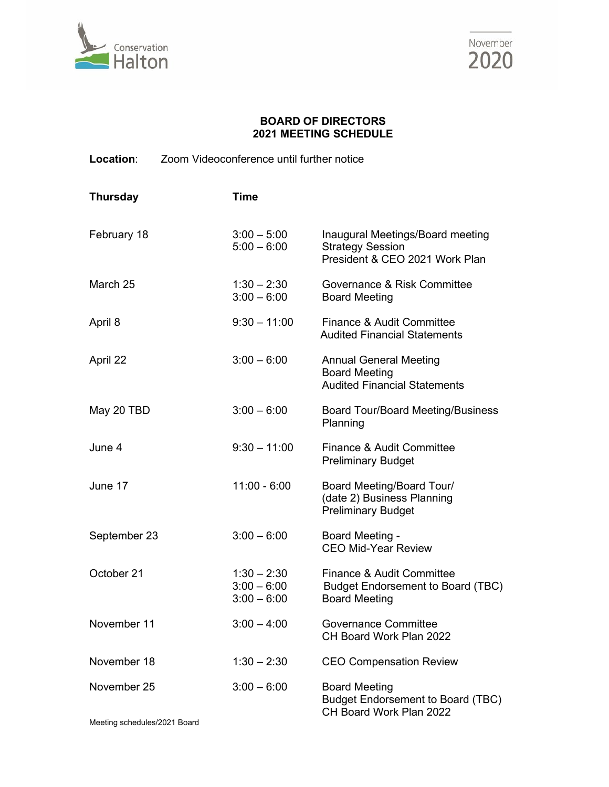



## **BOARD OF DIRECTORS 2021 MEETING SCHEDULE**

**Location**: Zoom Videoconference until further notice

| <b>Thursday</b> | <b>Time</b>                                     |                                                                                               |
|-----------------|-------------------------------------------------|-----------------------------------------------------------------------------------------------|
| February 18     | $3:00 - 5:00$<br>$5:00 - 6:00$                  | Inaugural Meetings/Board meeting<br><b>Strategy Session</b><br>President & CEO 2021 Work Plan |
| March 25        | $1:30 - 2:30$<br>$3:00 - 6:00$                  | Governance & Risk Committee<br><b>Board Meeting</b>                                           |
| April 8         | $9:30 - 11:00$                                  | Finance & Audit Committee<br><b>Audited Financial Statements</b>                              |
| April 22        | $3:00 - 6:00$                                   | <b>Annual General Meeting</b><br><b>Board Meeting</b><br><b>Audited Financial Statements</b>  |
| May 20 TBD      | $3:00 - 6:00$                                   | <b>Board Tour/Board Meeting/Business</b><br>Planning                                          |
| June 4          | $9:30 - 11:00$                                  | Finance & Audit Committee<br><b>Preliminary Budget</b>                                        |
| June 17         | $11:00 - 6:00$                                  | Board Meeting/Board Tour/<br>(date 2) Business Planning<br><b>Preliminary Budget</b>          |
| September 23    | $3:00 - 6:00$                                   | Board Meeting -<br><b>CEO Mid-Year Review</b>                                                 |
| October 21      | $1:30 - 2:30$<br>$3:00 - 6:00$<br>$3:00 - 6:00$ | Finance & Audit Committee<br><b>Budget Endorsement to Board (TBC)</b><br><b>Board Meeting</b> |
| November 11     | $3:00 - 4:00$                                   | <b>Governance Committee</b><br>CH Board Work Plan 2022                                        |
| November 18     | $1:30 - 2:30$                                   | <b>CEO Compensation Review</b>                                                                |
| November 25     | $3:00 - 6:00$                                   | <b>Board Meeting</b><br><b>Budget Endorsement to Board (TBC)</b><br>CH Board Work Plan 2022   |

Meeting schedules/2021 Board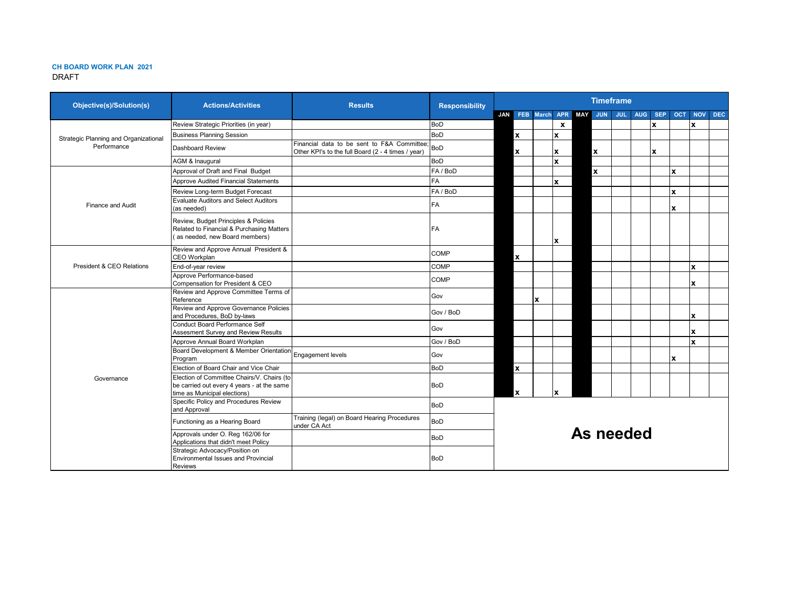#### **CH BOARD WORK PLAN 2021** DRAFT

| <b>Objective(s)/Solution(s)</b>       | <b>Actions/Activities</b>                                                                                                |                                                                                                   | <b>Responsibility</b> | <b>Timeframe</b> |                    |   |              |  |                       |            |            |            |            |            |      |
|---------------------------------------|--------------------------------------------------------------------------------------------------------------------------|---------------------------------------------------------------------------------------------------|-----------------------|------------------|--------------------|---|--------------|--|-----------------------|------------|------------|------------|------------|------------|------|
|                                       |                                                                                                                          |                                                                                                   |                       | JAN              |                    |   |              |  | FEB March APR MAY JUN | <b>JUL</b> | <b>AUG</b> | <b>SEP</b> | <b>OCT</b> | <b>NOV</b> | DEC. |
|                                       | Review Strategic Priorities (in year)                                                                                    |                                                                                                   | <b>BoD</b>            |                  |                    |   | $\mathbf{x}$ |  |                       |            |            | x          |            | x          |      |
| Strategic Planning and Organizational | <b>Business Planning Session</b>                                                                                         |                                                                                                   | <b>BoD</b>            |                  | $\pmb{\mathsf{x}}$ |   | x            |  |                       |            |            |            |            |            |      |
| Performance                           | Dashboard Review                                                                                                         | Financial data to be sent to F&A Committee:<br>Other KPI's to the full Board (2 - 4 times / year) | BoD                   |                  | x                  |   | X            |  | x                     |            |            | x          |            |            |      |
|                                       | AGM & Inaugural                                                                                                          |                                                                                                   | <b>BoD</b>            |                  |                    |   | x            |  |                       |            |            |            |            |            |      |
|                                       | Approval of Draft and Final Budget                                                                                       |                                                                                                   | FA / BoD              |                  |                    |   |              |  | x                     |            |            |            | x          |            |      |
|                                       | <b>Approve Audited Financial Statements</b>                                                                              |                                                                                                   | <b>FA</b>             |                  |                    |   | x            |  |                       |            |            |            |            |            |      |
|                                       | Review Long-term Budget Forecast                                                                                         |                                                                                                   | FA / BoD              |                  |                    |   |              |  |                       |            |            |            | x          |            |      |
| Finance and Audit                     | <b>Evaluate Auditors and Select Auditors</b><br>(as needed)                                                              |                                                                                                   | FA                    |                  |                    |   |              |  |                       |            |            |            | x          |            |      |
|                                       | Review, Budget Principles & Policies<br>Related to Financial & Purchasing Matters<br>(as needed, new Board members)      |                                                                                                   | FA                    |                  |                    |   | <b>X</b>     |  |                       |            |            |            |            |            |      |
|                                       | Review and Approve Annual President &<br>CEO Workplan                                                                    |                                                                                                   | <b>COMP</b>           |                  | x                  |   |              |  |                       |            |            |            |            |            |      |
| President & CEO Relations             | End-of-year review                                                                                                       |                                                                                                   | <b>COMP</b>           |                  |                    |   |              |  |                       |            |            |            |            | x          |      |
|                                       | Approve Performance-based<br>Compensation for President & CEO                                                            |                                                                                                   | <b>COMP</b>           |                  |                    |   |              |  |                       |            |            |            |            | x          |      |
|                                       | Review and Approve Committee Terms of<br>Reference                                                                       |                                                                                                   | Gov                   |                  |                    | x |              |  |                       |            |            |            |            |            |      |
|                                       | Review and Approve Governance Policies<br>and Procedures, BoD by-laws                                                    |                                                                                                   | Gov / BoD             |                  |                    |   |              |  |                       |            |            |            |            | X          |      |
|                                       | Conduct Board Performance Self<br>Assesment Survey and Review Results                                                    |                                                                                                   | Gov                   |                  |                    |   |              |  |                       |            |            |            |            | x          |      |
|                                       | Approve Annual Board Workplan                                                                                            |                                                                                                   | Gov / BoD             |                  |                    |   |              |  |                       |            |            |            |            | x          |      |
|                                       | Board Development & Member Orientation<br>Program                                                                        | Engagement levels                                                                                 | Gov                   |                  |                    |   |              |  |                       |            |            |            | x          |            |      |
|                                       | Election of Board Chair and Vice Chair                                                                                   |                                                                                                   | <b>BoD</b>            |                  | $\mathbf{x}$       |   |              |  |                       |            |            |            |            |            |      |
| Governance                            | Election of Committee Chairs/V. Chairs (to<br>be carried out every 4 years - at the same<br>time as Municipal elections) |                                                                                                   | <b>BoD</b>            |                  | x                  |   |              |  |                       |            |            |            |            |            |      |
|                                       | Specific Policy and Procedures Review<br>and Approval                                                                    |                                                                                                   | <b>BoD</b>            |                  |                    |   |              |  |                       |            |            |            |            |            |      |
|                                       | Functioning as a Hearing Board                                                                                           | Training (legal) on Board Hearing Procedures<br>under CA Act                                      | <b>BoD</b>            |                  | As needed          |   |              |  |                       |            |            |            |            |            |      |
|                                       | Approvals under O. Reg 162/06 for<br>Applications that didn't meet Policy                                                |                                                                                                   | <b>BoD</b>            |                  |                    |   |              |  |                       |            |            |            |            |            |      |
|                                       | Strategic Advocacy/Position on<br>Environmental Issues and Provincial<br>Reviews                                         |                                                                                                   | <b>BoD</b>            |                  |                    |   |              |  |                       |            |            |            |            |            |      |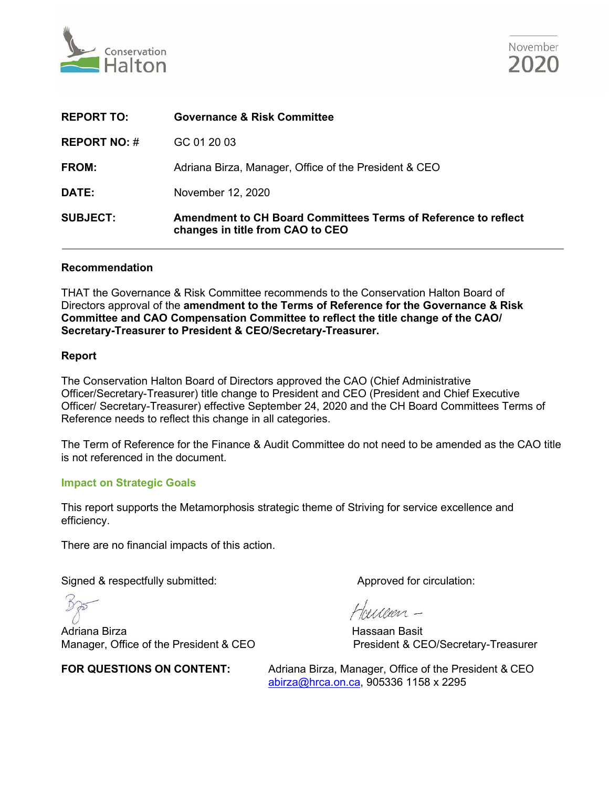



| <b>REPORT TO:</b>   | <b>Governance &amp; Risk Committee</b>                                                             |
|---------------------|----------------------------------------------------------------------------------------------------|
| <b>REPORT NO: #</b> | GC 01 20 03                                                                                        |
| <b>FROM:</b>        | Adriana Birza, Manager, Office of the President & CEO                                              |
| DATE:               | November 12, 2020                                                                                  |
| <b>SUBJECT:</b>     | Amendment to CH Board Committees Terms of Reference to reflect<br>changes in title from CAO to CEO |

## **Recommendation**

THAT the Governance & Risk Committee recommends to the Conservation Halton Board of Directors approval of the **amendment to the Terms of Reference for the Governance & Risk Committee and CAO Compensation Committee to reflect the title change of the CAO/ Secretary-Treasurer to President & CEO/Secretary-Treasurer.**

## **Report**

The Conservation Halton Board of Directors approved the CAO (Chief Administrative Officer/Secretary-Treasurer) title change to President and CEO (President and Chief Executive Officer/ Secretary-Treasurer) effective September 24, 2020 and the CH Board Committees Terms of Reference needs to reflect this change in all categories.

The Term of Reference for the Finance & Audit Committee do not need to be amended as the CAO title is not referenced in the document.

## **Impact on Strategic Goals**

This report supports the Metamorphosis strategic theme of Striving for service excellence and efficiency.

There are no financial impacts of this action.

Signed & respectfully submitted: Approved for circulation:

Adriana Birza Hassaan Basit Manager, Office of the President & CEO President & CEO/Secretary-Treasurer

**FOR QUESTIONS ON CONTENT:** Adriana Birza, Manager, Office of the President & CEO [abirza@hrca.on.ca,](mailto:abirza@hrca.on.ca) 905336 1158 x 2295